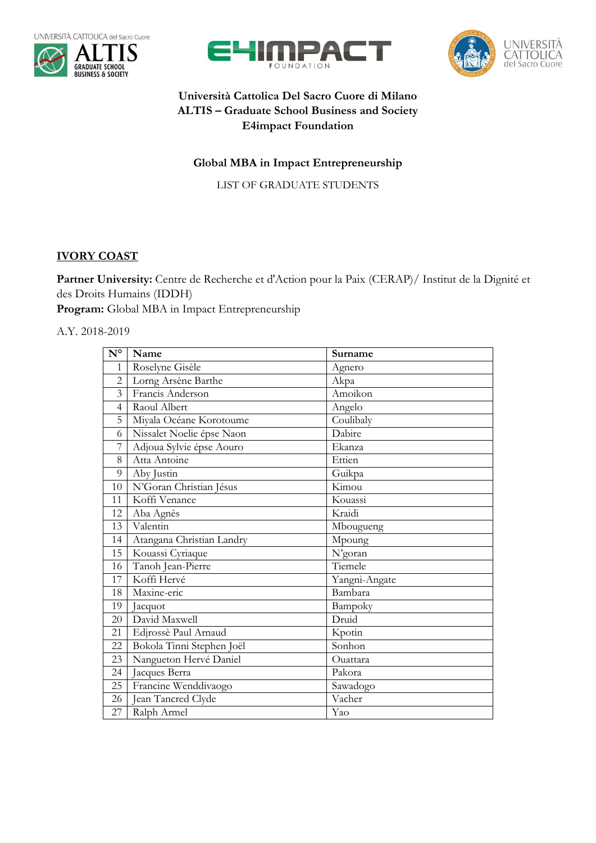







## **Università Cattolica Del Sacro Cuore di Milano ALTIS – Graduate School Business and Society E4impact Foundation**

## **Global MBA in Impact Entrepreneurship**

LIST OF GRADUATE STUDENTS

## **IVORY COAST**

**Partner University:** Centre de Recherche et d'Action pour la Paix (CERAP)/ Institut de la Dignité et des Droits Humains (IDDH)

**Program:** Global MBA in Impact Entrepreneurship

A.Y. 2018-2019

| $\mathbf{N}^{\mathsf{o}}$ | Name                      | Surname       |
|---------------------------|---------------------------|---------------|
| 1                         | Roselyne Gisèle           | Agnero        |
| $\overline{2}$            | Lorng Arsène Barthe       | Akpa          |
| $\overline{3}$            | Francis Anderson          | Amoikon       |
| $\overline{4}$            | Raoul Albert              | Angelo        |
| 5                         | Miyala Océane Korotoume   | Coulibaly     |
| 6                         | Nissalet Noelie épse Naon | Dabire        |
| $\overline{7}$            | Adjoua Sylvie épse Aouro  | Ekanza        |
| 8                         | Atta Antoine              | Ettien        |
| 9                         | Aby Justin                | Guikpa        |
| 10                        | N'Goran Christian Jésus   | Kimou         |
| 11                        | Koffi Venance             | Kouassi       |
| 12                        | Aba Agnès                 | Kraidi        |
| 13                        | Valentin                  | Mbougueng     |
| 14                        | Atangana Christian Landry | Mpoung        |
| 15                        | Kouassi Cyriaque          | N'goran       |
| 16                        | Tanoh Jean-Pierre         | Tiemele       |
| 17                        | Koffi Hervé               | Yangni-Angate |
| 18                        | Maxine-eric               | Bambara       |
| 19                        | Jacquot                   | Bampoky       |
| 20                        | David Maxwell             | Druid         |
| 21                        | Edjrossè Paul Arnaud      | Kpotin        |
| 22                        | Bokola Tinni Stephen Joël | Sonhon        |
| 23                        | Nangueton Hervé Daniel    | Ouattara      |
| 24                        | Jacques Berra             | Pakora        |
| 25                        | Francine Wenddivaogo      | Sawadogo      |
| 26                        | Jean Tancred Clyde        | Vacher        |
| 27                        | Ralph Armel               | Yao           |